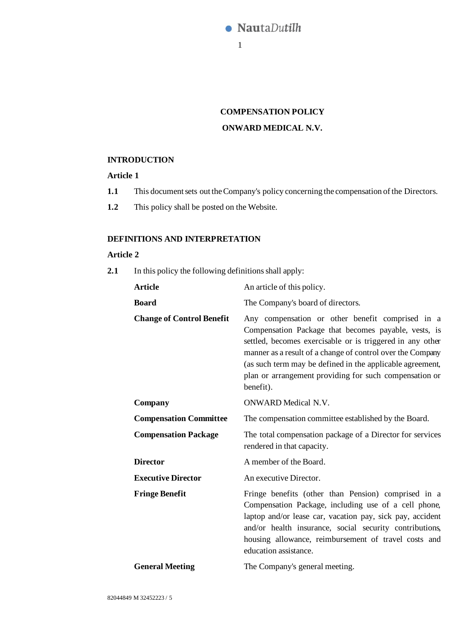

# **COMPENSATION POLICY ONWARD MEDICAL N.V.**

# **INTRODUCTION**

# **Article 1**

- **1.1** This document sets out the Company's policy concerning the compensation of the Directors.
- **1.2** This policy shall be posted on the Website.

# **DEFINITIONS AND INTERPRETATION**

### **Article 2**

**2.1** In this policy the following definitions shall apply:

| <b>Article</b>                   | An article of this policy.                                                                                                                                                                                                                                                                                                                                              |  |
|----------------------------------|-------------------------------------------------------------------------------------------------------------------------------------------------------------------------------------------------------------------------------------------------------------------------------------------------------------------------------------------------------------------------|--|
| <b>Board</b>                     | The Company's board of directors.                                                                                                                                                                                                                                                                                                                                       |  |
| <b>Change of Control Benefit</b> | Any compensation or other benefit comprised in a<br>Compensation Package that becomes payable, vests, is<br>settled, becomes exercisable or is triggered in any other<br>manner as a result of a change of control over the Company<br>(as such term may be defined in the applicable agreement,<br>plan or arrangement providing for such compensation or<br>benefit). |  |
| Company                          | <b>ONWARD Medical N.V.</b>                                                                                                                                                                                                                                                                                                                                              |  |
| <b>Compensation Committee</b>    | The compensation committee established by the Board.                                                                                                                                                                                                                                                                                                                    |  |
| <b>Compensation Package</b>      | The total compensation package of a Director for services<br>rendered in that capacity.                                                                                                                                                                                                                                                                                 |  |
| <b>Director</b>                  | A member of the Board.                                                                                                                                                                                                                                                                                                                                                  |  |
| <b>Executive Director</b>        | An executive Director.                                                                                                                                                                                                                                                                                                                                                  |  |
| <b>Fringe Benefit</b>            | Fringe benefits (other than Pension) comprised in a<br>Compensation Package, including use of a cell phone,<br>laptop and/or lease car, vacation pay, sick pay, accident<br>and/or health insurance, social security contributions,<br>housing allowance, reimbursement of travel costs and<br>education assistance.                                                    |  |
| <b>General Meeting</b>           | The Company's general meeting.                                                                                                                                                                                                                                                                                                                                          |  |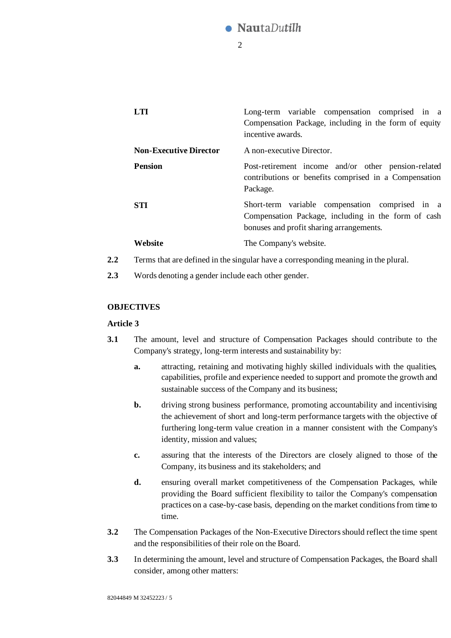# **NautaDutilh**

 $\mathcal{D}$ 

|         | LTI.                                                                               | Long-term variable compensation comprised in a<br>Compensation Package, including in the form of equity<br>incentive awards.                       |  |
|---------|------------------------------------------------------------------------------------|----------------------------------------------------------------------------------------------------------------------------------------------------|--|
|         | <b>Non-Executive Director</b>                                                      | A non-executive Director.                                                                                                                          |  |
|         | <b>Pension</b>                                                                     | Post-retirement income and/or other pension-related<br>contributions or benefits comprised in a Compensation<br>Package.                           |  |
|         | <b>STI</b>                                                                         | Short-term variable compensation comprised in a<br>Compensation Package, including in the form of cash<br>bonuses and profit sharing arrangements. |  |
|         | Website                                                                            | The Company's website.                                                                                                                             |  |
| $2.2\,$ | Terms that are defined in the singular have a corresponding meaning in the plural. |                                                                                                                                                    |  |

**2.3** Words denoting a gender include each other gender.

# **OBJECTIVES**

### **Article 3**

- <span id="page-1-0"></span>**3.1** The amount, level and structure of Compensation Packages should contribute to the Company's strategy, long-term interests and sustainability by:
	- **a.** attracting, retaining and motivating highly skilled individuals with the qualities, capabilities, profile and experience needed to support and promote the growth and sustainable success of the Company and its business;
	- **b.** driving strong business performance, promoting accountability and incentivising the achievement of short and long-term performance targets with the objective of furthering long-term value creation in a manner consistent with the Company's identity, mission and values;
	- **c.** assuring that the interests of the Directors are closely aligned to those of the Company, its business and its stakeholders; and
	- d. ensuring overall market competitiveness of the Compensation Packages, while providing the Board sufficient flexibility to tailor the Company's compensation practices on a case-by-case basis, depending on the market conditions from time to time.
- **3.2** The Compensation Packages of the Non-Executive Directors should reflect the time spent and the responsibilities of their role on the Board.
- **3.3** In determining the amount, level and structure of Compensation Packages, the Board shall consider, among other matters: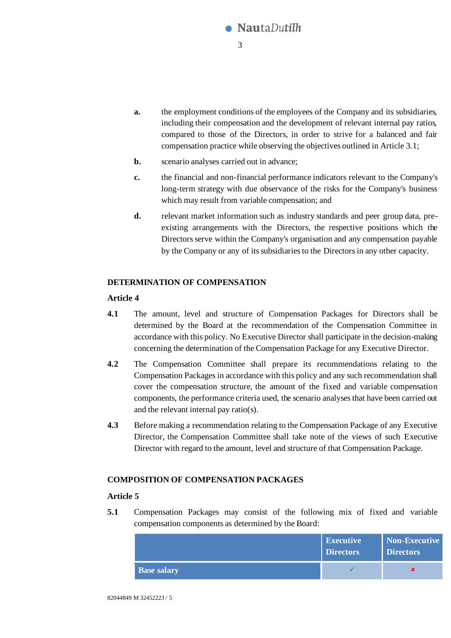

- **a.** the employment conditions of the employees of the Company and its subsidiaries, including their compensation and the development of relevant internal pay ratios, compared to those of the Directors, in order to strive for a balanced and fair compensation practice while observing the objectives outlined in Articl[e 3.1](#page-1-0);
- **b.** scenario analyses carried out in advance;
- **c.** the financial and non-financial performance indicators relevant to the Company's long-term strategy with due observance of the risks for the Company's business which may result from variable compensation; and
- **d.** relevant market information such as industry standards and peer group data, preexisting arrangements with the Directors, the respective positions which the Directors serve within the Company's organisation and any compensation payable by the Company or any of its subsidiaries to the Directorsin any other capacity.

# **DETERMINATION OF COMPENSATION**

# **Article 4**

- **4.1** The amount, level and structure of Compensation Packages for Directors shall be determined by the Board at the recommendation of the Compensation Committee in accordance with this policy. No Executive Director shall participate in the decision-making concerning the determination of the Compensation Package for any Executive Director.
- **4.2** The Compensation Committee shall prepare its recommendations relating to the Compensation Packages in accordance with this policy and any such recommendation shall cover the compensation structure, the amount of the fixed and variable compensation components, the performance criteria used, the scenario analyses that have been carried out and the relevant internal pay ratio(s).
- **4.3** Before making a recommendation relating to the Compensation Package of any Executive Director, the Compensation Committee shall take note of the views of such Executive Director with regard to the amount, level and structure of that Compensation Package.

### **COMPOSITION OF COMPENSATION PACKAGES**

### **Article 5**

**5.1** Compensation Packages may consist of the following mix of fixed and variable compensation components as determined by the Board:

|                    | <b>Executive</b><br><b>Directors</b> | <b>Non-Executive</b><br><b>Directors</b> |
|--------------------|--------------------------------------|------------------------------------------|
| <b>Base salary</b> |                                      |                                          |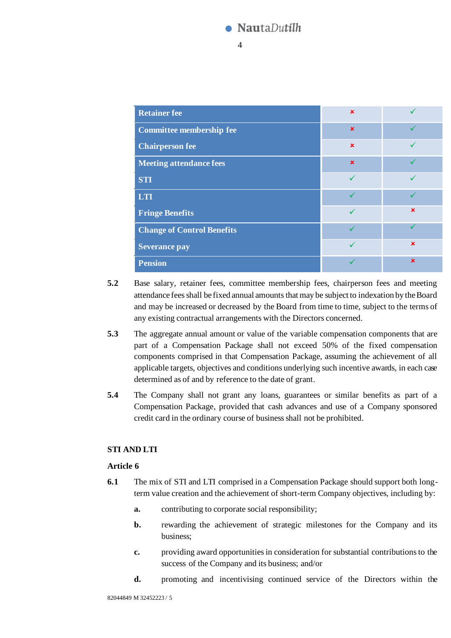# **NautaDutilh**

4

| <b>Retainer fee</b>               | $\mathbf x$ |             |
|-----------------------------------|-------------|-------------|
| <b>Committee membership fee</b>   | $\mathbf x$ |             |
| <b>Chairperson fee</b>            | $\mathbf x$ |             |
| <b>Meeting attendance fees</b>    | $\mathbf x$ |             |
| <b>STI</b>                        |             |             |
| LTI                               |             |             |
| <b>Fringe Benefits</b>            |             | $\mathbf x$ |
| <b>Change of Control Benefits</b> |             |             |
| <b>Severance pay</b>              |             | $\mathbf x$ |
| <b>Pension</b>                    |             | $\mathbf x$ |

- **5.2** Base salary, retainer fees, committee membership fees, chairperson fees and meeting attendance fees shall be fixed annual amounts that may be subject to indexation by the Board and may be increased or decreased by the Board from time to time, subject to the terms of any existing contractual arrangements with the Directors concerned.
- <span id="page-3-0"></span>**5.3** The aggregate annual amount or value of the variable compensation components that are part of a Compensation Package shall not exceed 50% of the fixed compensation components comprised in that Compensation Package, assuming the achievement of all applicable targets, objectives and conditions underlying such incentive awards, in each case determined as of and by reference to the date of grant.
- **5.4** The Company shall not grant any loans, guarantees or similar benefits as part of a Compensation Package, provided that cash advances and use of a Company sponsored credit card in the ordinary course of business shall not be prohibited.

# **STI AND LTI**

# **Article 6**

- **6.1** The mix of STI and LTI comprised in a Compensation Package should support both longterm value creation and the achievement of short-term Company objectives, including by:
	- **a.** contributing to corporate social responsibility;
	- **b.** rewarding the achievement of strategic milestones for the Company and its business;
	- **c.** providing award opportunities in consideration for substantial contributions to the success of the Company and its business; and/or
	- **d.** promoting and incentivising continued service of the Directors within the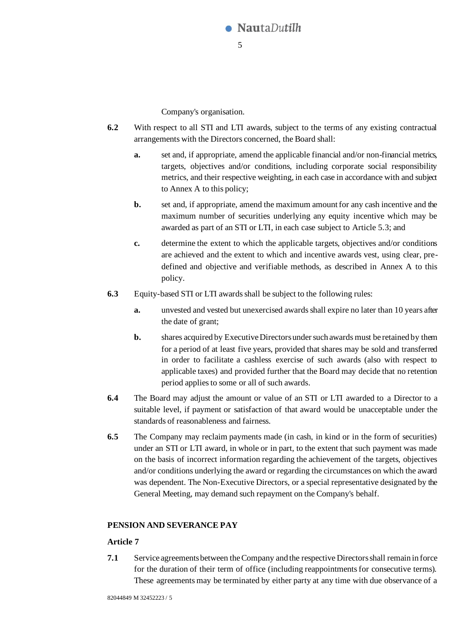

Company's organisation.

- **6.2** With respect to all STI and LTI awards, subject to the terms of any existing contractual arrangements with the Directors concerned, the Board shall:
	- **a.** set and, if appropriate, amend the applicable financial and/or non-financial metrics, targets, objectives and/or conditions, including corporate social responsibility metrics, and their respective weighting, in each case in accordance with and subject to Annex A to this policy;
	- **b.** set and, if appropriate, amend the maximum amount for any cash incentive and the maximum number of securities underlying any equity incentive which may be awarded as part of an STI or LTI, in each case subject to Articl[e 5.3;](#page-3-0) and
	- **c.** determine the extent to which the applicable targets, objectives and/or conditions are achieved and the extent to which and incentive awards vest, using clear, predefined and objective and verifiable methods, as described in Annex A to this policy.
- **6.3** Equity-based STI or LTI awards shall be subject to the following rules:
	- **a.** unvested and vested but unexercised awards shall expire no later than 10 years after the date of grant;
	- **b.** shares acquired by Executive Directors under such awards must be retained by them for a period of at least five years, provided that shares may be sold and transferred in order to facilitate a cashless exercise of such awards (also with respect to applicable taxes) and provided further that the Board may decide that no retention period applies to some or all of such awards.
- **6.4** The Board may adjust the amount or value of an STI or LTI awarded to a Director to a suitable level, if payment or satisfaction of that award would be unacceptable under the standards of reasonableness and fairness.
- **6.5** The Company may reclaim payments made (in cash, in kind or in the form of securities) under an STI or LTI award, in whole or in part, to the extent that such payment was made on the basis of incorrect information regarding the achievement of the targets, objectives and/or conditions underlying the award or regarding the circumstances on which the award was dependent. The Non-Executive Directors, or a special representative designated by the General Meeting, may demand such repayment on the Company's behalf.

### **PENSION AND SEVERANCE PAY**

### **Article 7**

**7.1** Service agreements between the Company and the respective Directorsshall remain in force for the duration of their term of office (including reappointments for consecutive terms). These agreements may be terminated by either party at any time with due observance of a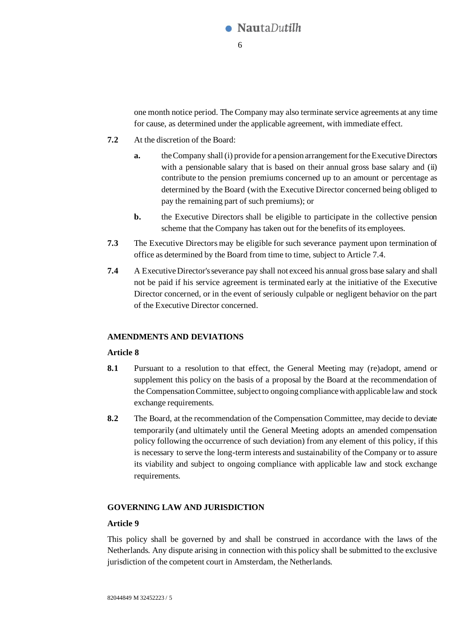

one month notice period. The Company may also terminate service agreements at any time for cause, as determined under the applicable agreement, with immediate effect.

- **7.2** At the discretion of the Board:
	- **a.** the Company shall (i) provide for a pension arrangement for the Executive Directors with a pensionable salary that is based on their annual gross base salary and (ii) contribute to the pension premiums concerned up to an amount or percentage as determined by the Board (with the Executive Director concerned being obliged to pay the remaining part of such premiums); or
	- **b.** the Executive Directors shall be eligible to participate in the collective pension scheme that the Company has taken out for the benefits of its employees.
- **7.3** The Executive Directors may be eligible for such severance payment upon termination of office as determined by the Board from time to time, subject to Articl[e 7.4.](#page-5-0)
- <span id="page-5-0"></span>**7.4** A Executive Director's severance pay shall not exceed his annual gross base salary and shall not be paid if his service agreement is terminated early at the initiative of the Executive Director concerned, or in the event of seriously culpable or negligent behavior on the part of the Executive Director concerned.

### **AMENDMENTS AND DEVIATIONS**

#### **Article 8**

- **8.1** Pursuant to a resolution to that effect, the General Meeting may (re)adopt, amend or supplement this policy on the basis of a proposal by the Board at the recommendation of the Compensation Committee, subject to ongoing compliance with applicable law and stock exchange requirements.
- **8.2** The Board, at the recommendation of the Compensation Committee, may decide to deviate temporarily (and ultimately until the General Meeting adopts an amended compensation policy following the occurrence of such deviation) from any element of this policy, if this is necessary to serve the long-term interests and sustainability of the Company or to assure its viability and subject to ongoing compliance with applicable law and stock exchange requirements.

#### **GOVERNING LAW AND JURISDICTION**

#### **Article 9**

This policy shall be governed by and shall be construed in accordance with the laws of the Netherlands. Any dispute arising in connection with this policy shall be submitted to the exclusive jurisdiction of the competent court in Amsterdam, the Netherlands.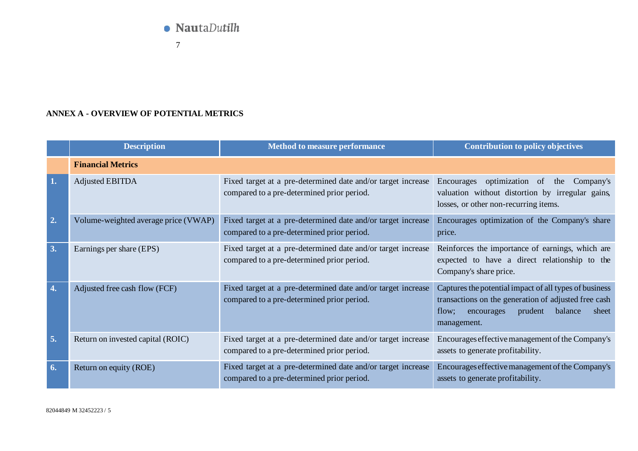

7

# **ANNEX A - OVERVIEW OF POTENTIAL METRICS**

|    | <b>Description</b>                   | <b>Method to measure performance</b>                                                                       | Contribution to policy objectives                                                                                                                                                   |
|----|--------------------------------------|------------------------------------------------------------------------------------------------------------|-------------------------------------------------------------------------------------------------------------------------------------------------------------------------------------|
|    | <b>Financial Metrics</b>             |                                                                                                            |                                                                                                                                                                                     |
| 1. | <b>Adjusted EBITDA</b>               | Fixed target at a pre-determined date and/or target increase<br>compared to a pre-determined prior period. | optimization of<br>Encourages<br>the<br>Company's<br>valuation without distortion by irregular gains,<br>losses, or other non-recurring items.                                      |
| 2. | Volume-weighted average price (VWAP) | Fixed target at a pre-determined date and/or target increase<br>compared to a pre-determined prior period. | Encourages optimization of the Company's share<br>price.                                                                                                                            |
| 3. | Earnings per share (EPS)             | Fixed target at a pre-determined date and/or target increase<br>compared to a pre-determined prior period. | Reinforces the importance of earnings, which are<br>expected to have a direct relationship to the<br>Company's share price.                                                         |
| 4. | Adjusted free cash flow (FCF)        | Fixed target at a pre-determined date and/or target increase<br>compared to a pre-determined prior period. | Captures the potential impact of all types of business<br>transactions on the generation of adjusted free cash<br>balance<br>prudent<br>flow;<br>encourages<br>sheet<br>management. |
| 5. | Return on invested capital (ROIC)    | Fixed target at a pre-determined date and/or target increase<br>compared to a pre-determined prior period. | Encourages effective management of the Company's<br>assets to generate profitability.                                                                                               |
| 6. | Return on equity (ROE)               | Fixed target at a pre-determined date and/or target increase<br>compared to a pre-determined prior period. | Encourages effective management of the Company's<br>assets to generate profitability.                                                                                               |

82044849 M 32452223 / 5